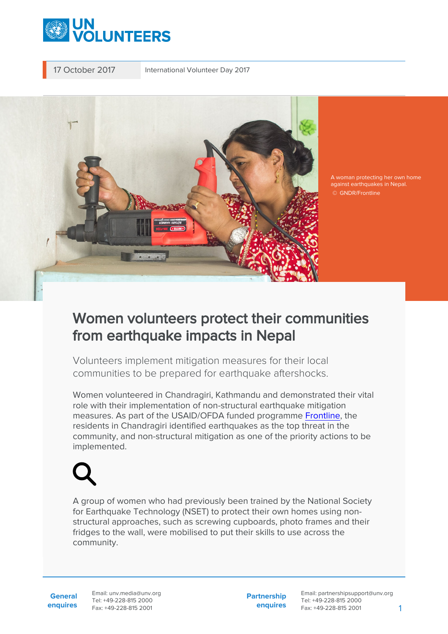

17 October 2017 International Volunteer Day 2017



A woman protecting her own home against earthquakes in Nepal. © GNDR/Frontline

## Women volunteers protect their communities from earthquake impacts in Nepal

Volunteers implement mitigation measures for their local communities to be prepared for earthquake aftershocks.

Women volunteered in Chandragiri, Kathmandu and demonstrated their vital role with their implementation of non-structural earthquake mitigation measures. As part of the USAID/OFDA funded programme [Frontline,](https://www.gndr.org/frontline) the residents in Chandragiri identified earthquakes as the top threat in the community, and non-structural mitigation as one of the priority actions to be implemented.

A group of women who had previously been trained by the National Society for Earthquake Technology (NSET) to protect their own homes using nonstructural approaches, such as screwing cupboards, photo frames and their fridges to the wall, were mobilised to put their skills to use across the community.

**General enquires** Email: unv.media@unv.org Tel: +49-228-815 2000 Fax: +49-228-815 2001

**Partnership enquires** Email: partnershipsupport@unv.org Tel: +49-228-815 2000 Fax: +49-228-815 2001 1